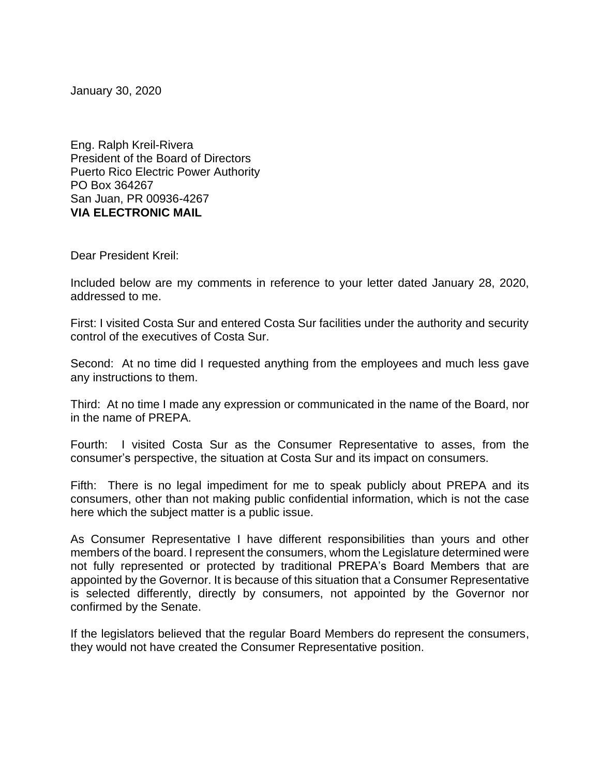January 30, 2020

Eng. Ralph Kreil-Rivera President of the Board of Directors Puerto Rico Electric Power Authority PO Box 364267 San Juan, PR 00936-4267 **VIA ELECTRONIC MAIL**

Dear President Kreil:

Included below are my comments in reference to your letter dated January 28, 2020, addressed to me.

First: I visited Costa Sur and entered Costa Sur facilities under the authority and security control of the executives of Costa Sur.

Second: At no time did I requested anything from the employees and much less gave any instructions to them.

Third: At no time I made any expression or communicated in the name of the Board, nor in the name of PREPA.

Fourth: I visited Costa Sur as the Consumer Representative to asses, from the consumer's perspective, the situation at Costa Sur and its impact on consumers.

Fifth: There is no legal impediment for me to speak publicly about PREPA and its consumers, other than not making public confidential information, which is not the case here which the subject matter is a public issue.

As Consumer Representative I have different responsibilities than yours and other members of the board. I represent the consumers, whom the Legislature determined were not fully represented or protected by traditional PREPA's Board Members that are appointed by the Governor. It is because of this situation that a Consumer Representative is selected differently, directly by consumers, not appointed by the Governor nor confirmed by the Senate.

If the legislators believed that the regular Board Members do represent the consumers, they would not have created the Consumer Representative position.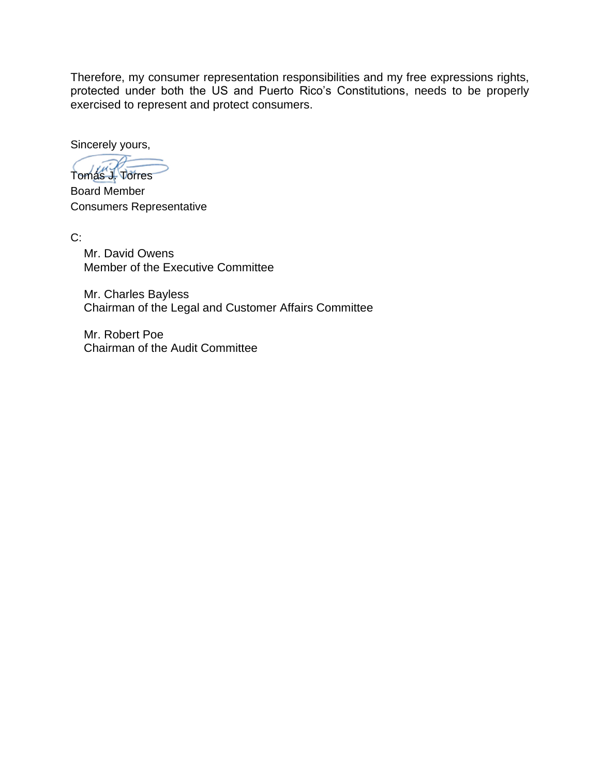Therefore, my consumer representation responsibilities and my free expressions rights, protected under both the US and Puerto Rico's Constitutions, needs to be properly exercised to represent and protect consumers.

Sincerely yours,

Tomás J. Torres

Board Member Consumers Representative

C:

Mr. David Owens Member of the Executive Committee

Mr. Charles Bayless Chairman of the Legal and Customer Affairs Committee

Mr. Robert Poe Chairman of the Audit Committee